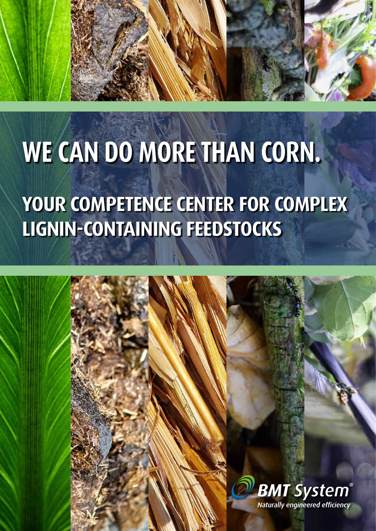## **WE CAN DO MORE THAN CORN.**

### **YOUR COMPETENCE CENTER FOR COMPLEX LIGNIN-CONTAINING FEEDSTOCKS**

1

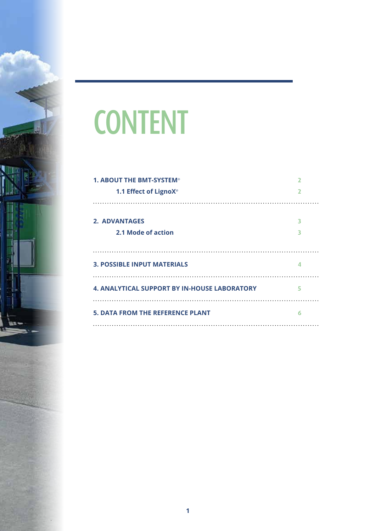

## **CONTENT**

| <b>1. ABOUT THE BMT-SYSTEM®</b>                     |   |
|-----------------------------------------------------|---|
| 1.1 Effect of LignoX®                               |   |
|                                                     |   |
| <b>2. ADVANTAGES</b>                                | ٦ |
| 2.1 Mode of action                                  | ٦ |
|                                                     |   |
| <b>3. POSSIBLE INPUT MATERIALS</b>                  |   |
|                                                     |   |
| <b>4. ANALYTICAL SUPPORT BY IN-HOUSE LABORATORY</b> | 5 |
|                                                     |   |
| <b>5. DATA FROM THE REFERENCE PLANT</b>             | 6 |
|                                                     |   |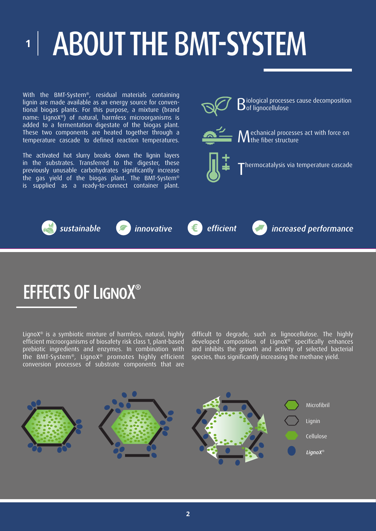## **<sup>1</sup>** ABOUT THE BMT-SYSTEM

With the BMT-System®, residual materials containing lignin are made available as an energy source for conventional biogas plants. For this purpose, a mixture (brand name: LignoX®) of natural, harmless microorganisms is added to a fermentation digestate of the biogas plant. These two components are heated together through a temperature cascade to defined reaction temperatures.

The activated hot slurry breaks down the lignin layers in the substrates. Transferred to the digester, these previously unusable carbohydrates significantly increase the gas yield of the biogas plant. The BMT-System® is supplied as a ready-to-connect container plant.





#### EFFECTS OF LignoX**®**

LignoX® is a symbiotic mixture of harmless, natural, highly efficient microorganisms of biosafety risk class 1, plant-based prebiotic ingredients and enzymes. In combination with the BMT-System®, LignoX® promotes highly efficient conversion processes of substrate components that are difficult to degrade, such as lignocellulose. The highly developed composition of LignoX® specifically enhances and inhibits the growth and activity of selected bacterial species, thus significantly increasing the methane yield.

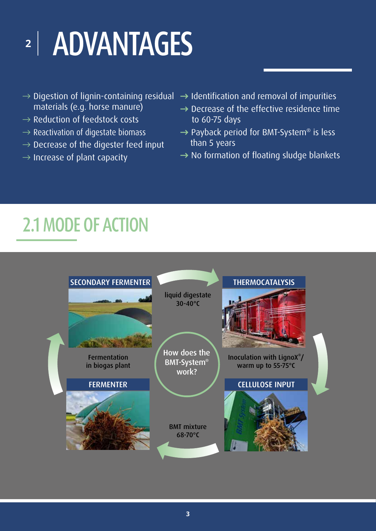## **<sup>2</sup>** ADVANTAGES

- materials (e.g. horse manure)
- $\rightarrow$  Reduction of feedstock costs
- $\rightarrow$  Reactivation of digestate biomass
- $\rightarrow$  Decrease of the digester feed input
- $\rightarrow$  Increase of plant capacity
- $\rightarrow$  Digestion of lignin-containing residual  $\,\rightarrow$  Identification and removal of impurities
	- **→** Decrease of the effective residence time to 60-75 days
	- → Payback period for BMT-System<sup>®</sup> is less than 5 years
	- **→** No formation of floating sludge blankets

#### 2.1 MODE OF ACTION

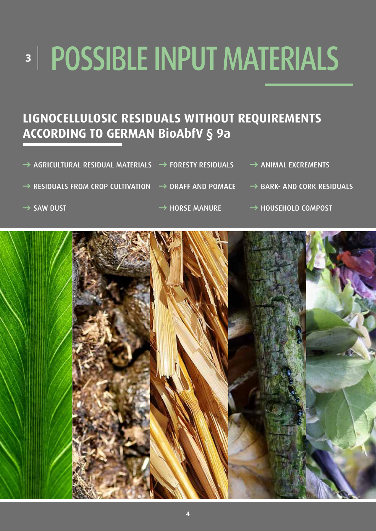# POSSIBLE INPUT MATERIALS **3**

#### **LIGNOCELLULOSIC RESIDUALS WITHOUT REQUIREMENTS ACCORDING TO GERMAN BioAbfV § 9a**

- **→** AGRICULTURAL RESIDUAL MATERIALS **→** FORESTY RESIDUALS **→** ANIMAL EXCREMENTS
- **→** RESIDUALS FROM CROP CULTIVATION **→** DRAFF AND POMACE **→** BARK- AND CORK RESIDUALS
	-

- 
- 
- 
- → SAW DUST **→** HORSE MANURE → **HOUSEHOLD COMPOST**

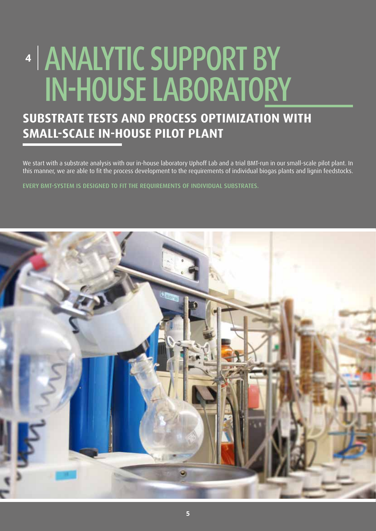### ANALYTIC SUPPORT BY **4** IN-HOUSE LABORATORY

#### **SUBSTRATE TESTS AND PROCESS OPTIMIZATION WITH SMALL-SCALE IN-HOUSE PILOT PLANT**

We start with a substrate analysis with our in-house laboratory Uphoff Lab and a trial BMT-run in our small-scale pilot plant. In this manner, we are able to fit the process development to the requirements of individual biogas plants and lignin feedstocks.

 $-$ 

EVERY BMT-SYSTEM IS DESIGNED TO FIT THE REQUIREMENTS OF INDIVIDUAL SUBSTRATES.

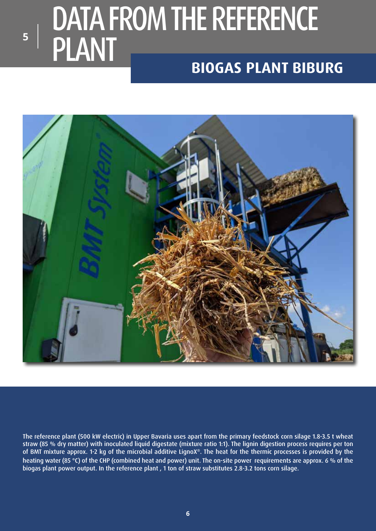### DATA FROM THE REFERENCE **PLANT BIOGAS PLANT BIBURG**

**5**



The reference plant (500 kW electric) in Upper Bavaria uses apart from the primary feedstock corn silage 1.8-3.5 t wheat straw (85 % dry matter) with inoculated liquid digestate (mixture ratio 1:1). The lignin digestion process requires per ton of BMT mixture approx. 1-2 kg of the microbial additive LignoX®. The heat for the thermic processes is provided by the heating water (85 °C) of the CHP (combined heat and power) unit. The on-site power requirements are approx. 6 % of the biogas plant power output. In the reference plant , 1 ton of straw substitutes 2.8-3.2 tons corn silage.